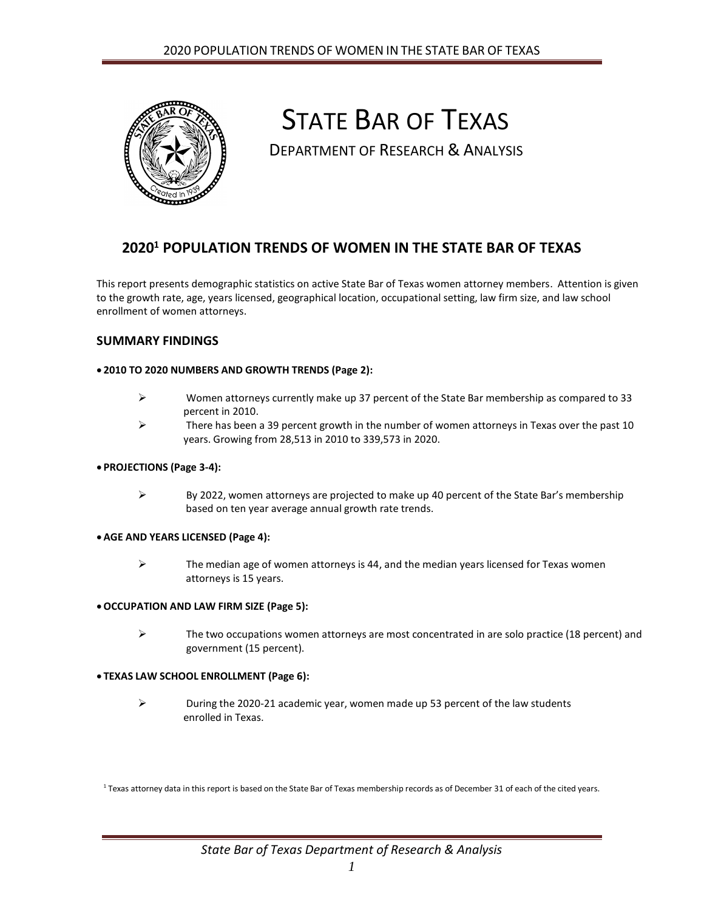

# STATE BAR OF TEXAS

DEPARTMENT OF RESEARCH & ANALYSIS

# **2020<sup>1</sup> POPULATION TRENDS OF WOMEN IN THE STATE BAR OF TEXAS**

This report presents demographic statistics on active State Bar of Texas women attorney members. Attention is given to the growth rate, age, years licensed, geographical location, occupational setting, law firm size, and law school enrollment of women attorneys.

### **SUMMARY FINDINGS**

#### **2010 TO 2020 NUMBERS AND GROWTH TRENDS (Page 2):**

- $\triangleright$  Women attorneys currently make up 37 percent of the State Bar membership as compared to 33 percent in 2010.
- $\triangleright$  There has been a 39 percent growth in the number of women attorneys in Texas over the past 10 years. Growing from 28,513 in 2010 to 339,573 in 2020.

#### **PROJECTIONS (Page 3-4):**

 $\triangleright$  By 2022, women attorneys are projected to make up 40 percent of the State Bar's membership based on ten year average annual growth rate trends.

#### **AGE AND YEARS LICENSED (Page 4):**

 $\triangleright$  The median age of women attorneys is 44, and the median years licensed for Texas women attorneys is 15 years.

#### **OCCUPATION AND LAW FIRM SIZE (Page 5):**

 $\triangleright$  The two occupations women attorneys are most concentrated in are solo practice (18 percent) and government (15 percent).

#### **TEXAS LAW SCHOOL ENROLLMENT (Page 6):**

 $\triangleright$  During the 2020-21 academic year, women made up 53 percent of the law students enrolled in Texas.

<sup>1</sup> Texas attorney data in this report is based on the State Bar of Texas membership records as of December 31 of each of the cited years.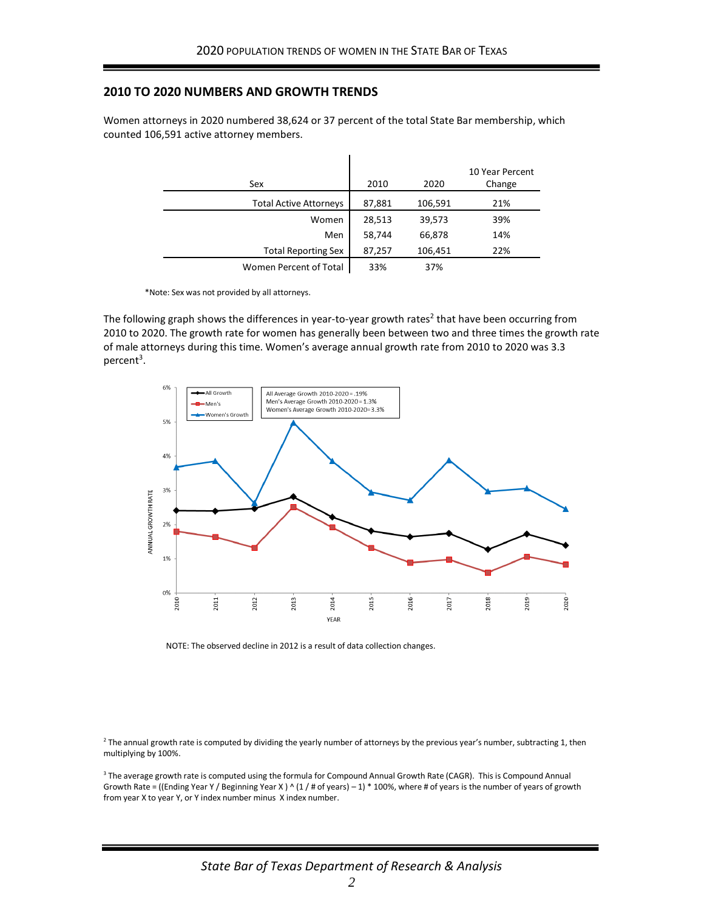#### **2010 TO 2020 NUMBERS AND GROWTH TRENDS**

Women attorneys in 2020 numbered 38,624 or 37 percent of the total State Bar membership, which counted 106,591 active attorney members.

| Sex                           | 2010   | 2020    | 10 Year Percent<br>Change |
|-------------------------------|--------|---------|---------------------------|
| <b>Total Active Attorneys</b> | 87,881 | 106,591 | 21%                       |
| Women                         | 28,513 | 39,573  | 39%                       |
| Men                           | 58,744 | 66,878  | 14%                       |
| <b>Total Reporting Sex</b>    | 87,257 | 106,451 | 22%                       |
| Women Percent of Total        | 33%    | 37%     |                           |

 $\mathbf{I}$ 

\*Note: Sex was not provided by all attorneys.

The following graph shows the differences in year-to-year growth rates<sup>2</sup> that have been occurring from 2010 to 2020. The growth rate for women has generally been between two and three times the growth rate of male attorneys during this time. Women's average annual growth rate from 2010 to 2020 was 3.3 percent<sup>3</sup>.



NOTE: The observed decline in 2012 is a result of data collection changes.

<sup>2</sup> The annual growth rate is computed by dividing the yearly number of attorneys by the previous year's number, subtracting 1, then multiplying by 100%.

<sup>3</sup> The average growth rate is computed using the formula for Compound Annual Growth Rate (CAGR). This is Compound Annual Growth Rate = ((Ending Year Y / Beginning Year X)  $\wedge$  (1 / # of years) – 1) \* 100%, where # of years is the number of years of growth from year X to year Y, or Y index number minus X index number.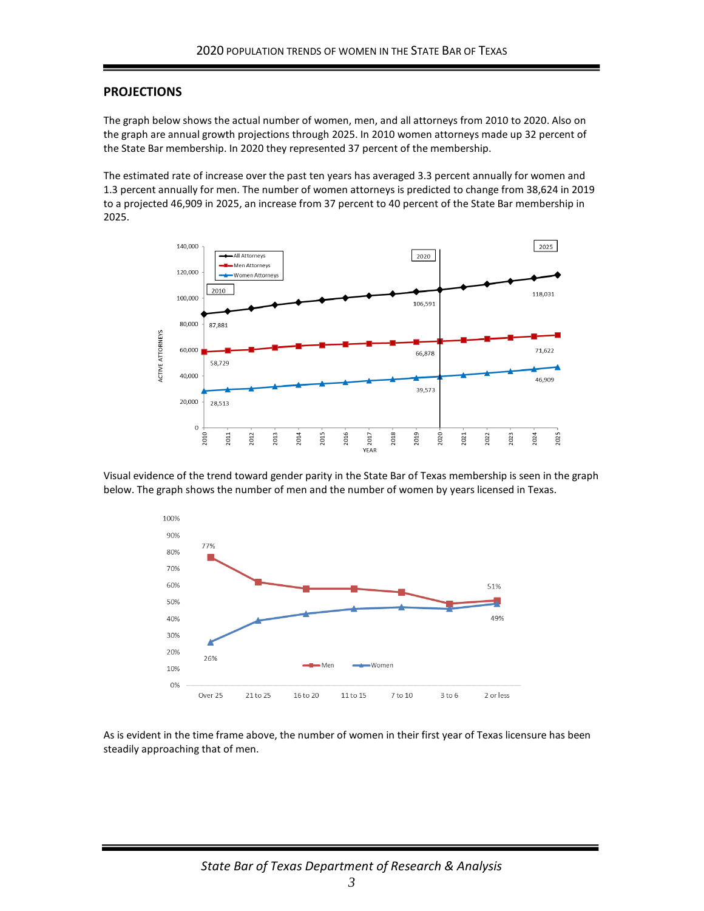#### **PROJECTIONS**

The graph below shows the actual number of women, men, and all attorneys from 2010 to 2020. Also on the graph are annual growth projections through 2025. In 2010 women attorneys made up 32 percent of the State Bar membership. In 2020 they represented 37 percent of the membership.

The estimated rate of increase over the past ten years has averaged 3.3 percent annually for women and 1.3 percent annually for men. The number of women attorneys is predicted to change from 38,624 in 2019 to a projected 46,909 in 2025, an increase from 37 percent to 40 percent of the State Bar membership in 2025.



Visual evidence of the trend toward gender parity in the State Bar of Texas membership is seen in the graph below. The graph shows the number of men and the number of women by years licensed in Texas.



As is evident in the time frame above, the number of women in their first year of Texas licensure has been steadily approaching that of men.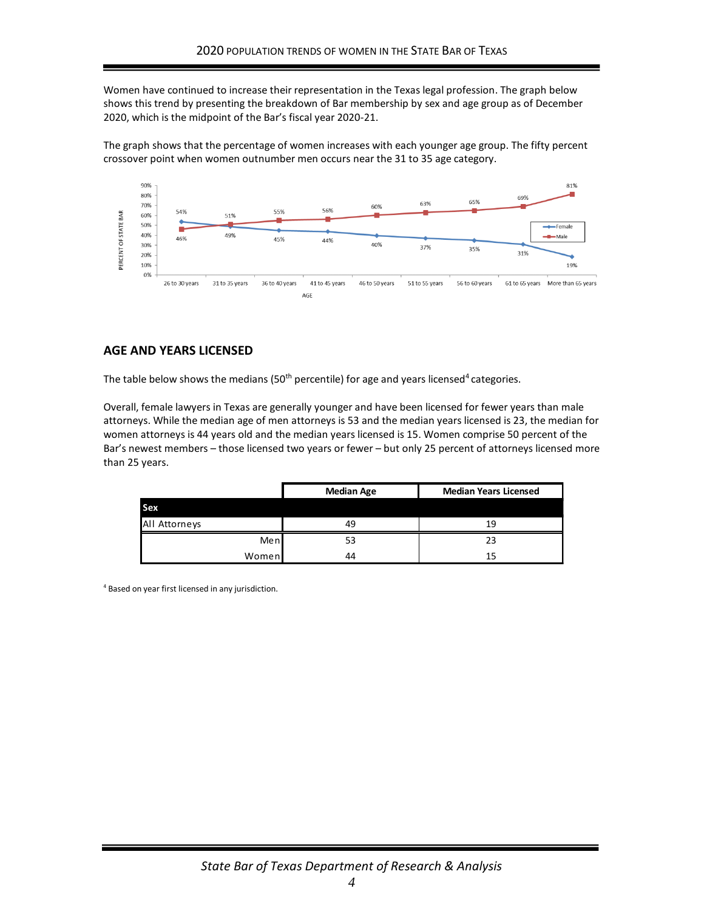Women have continued to increase their representation in the Texas legal profession. The graph below shows this trend by presenting the breakdown of Bar membership by sex and age group as of December 2020, which is the midpoint of the Bar's fiscal year 2020-21.

The graph shows that the percentage of women increases with each younger age group. The fifty percent crossover point when women outnumber men occurs near the 31 to 35 age category.



# **AGE AND YEARS LICENSED**

The table below shows the medians (50<sup>th</sup> percentile) for age and years licensed<sup>4</sup> categories.

Overall, female lawyers in Texas are generally younger and have been licensed for fewer years than male attorneys. While the median age of men attorneys is 53 and the median years licensed is 23, the median for women attorneys is 44 years old and the median years licensed is 15. Women comprise 50 percent of the Bar's newest members – those licensed two years or fewer – but only 25 percent of attorneys licensed more than 25 years.

|               | <b>Median Age</b> | <b>Median Years Licensed</b> |  |  |
|---------------|-------------------|------------------------------|--|--|
| Sex           |                   |                              |  |  |
| All Attorneys | 49                | 19                           |  |  |
| Men           | 53                | 23                           |  |  |
| Women         | 44                | 15                           |  |  |

<sup>4</sup> Based on year first licensed in any jurisdiction.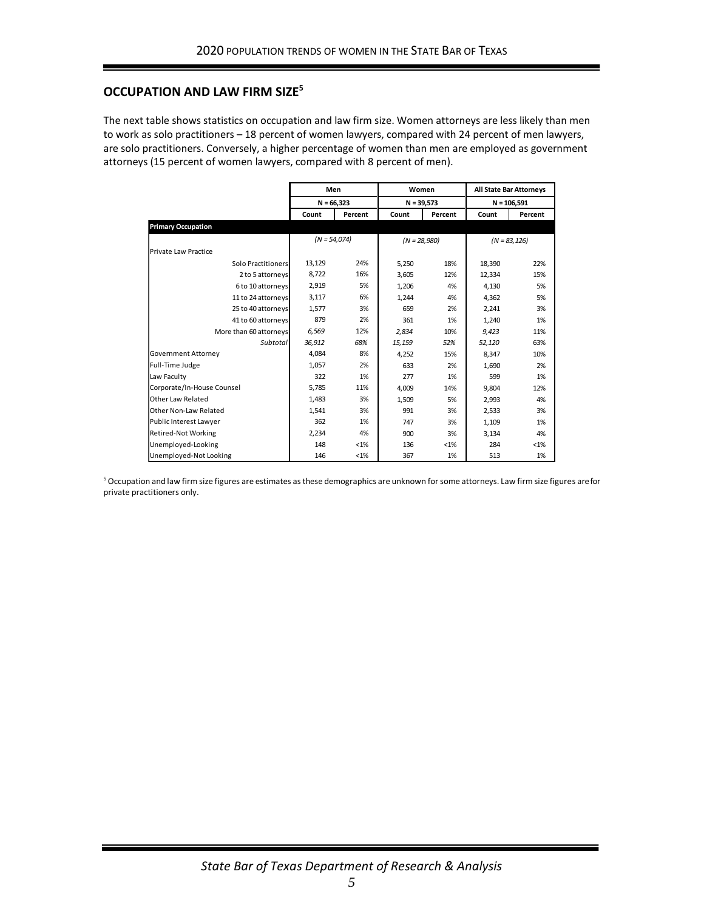# **OCCUPATION AND LAW FIRM SIZE<sup>5</sup>**

The next table shows statistics on occupation and law firm size. Women attorneys are less likely than men to work as solo practitioners – 18 percent of women lawyers, compared with 24 percent of men lawyers, are solo practitioners. Conversely, a higher percentage of women than men are employed as government attorneys (15 percent of women lawyers, compared with 8 percent of men).

|                            | Men<br>$N = 66.323$ |         | Women<br>$N = 39,573$ |         | <b>All State Bar Attorneys</b> |         |
|----------------------------|---------------------|---------|-----------------------|---------|--------------------------------|---------|
|                            |                     |         |                       |         | $N = 106,591$                  |         |
|                            | Count               | Percent | Count                 | Percent | Count                          | Percent |
| <b>Primary Occupation</b>  |                     |         |                       |         |                                |         |
|                            | $(N = 54,074)$      |         | $(N = 28,980)$        |         | $(N = 83.126)$                 |         |
| Private Law Practice       |                     |         |                       |         |                                |         |
| Solo Practitioners         | 13,129              | 24%     | 5,250                 | 18%     | 18,390                         | 22%     |
| 2 to 5 attorneys           | 8,722               | 16%     | 3,605                 | 12%     | 12,334                         | 15%     |
| 6 to 10 attorneys          | 2,919               | 5%      | 1,206                 | 4%      | 4.130                          | 5%      |
| 11 to 24 attorneys         | 3,117               | 6%      | 1.244                 | 4%      | 4.362                          | 5%      |
| 25 to 40 attorneys         | 1,577               | 3%      | 659                   | 2%      | 2,241                          | 3%      |
| 41 to 60 attorneys         | 879                 | 2%      | 361                   | 1%      | 1,240                          | 1%      |
| More than 60 attorneys     | 6,569               | 12%     | 2.834                 | 10%     | 9.423                          | 11%     |
| Subtotal                   | 36,912              | 68%     | 15,159                | 52%     | 52,120                         | 63%     |
| Government Attorney        | 4,084               | 8%      | 4.252                 | 15%     | 8.347                          | 10%     |
| Full-Time Judge            | 1,057               | 2%      | 633                   | 2%      | 1,690                          | 2%      |
| Law Faculty                | 322                 | 1%      | 277                   | 1%      | 599                            | 1%      |
| Corporate/In-House Counsel | 5,785               | 11%     | 4,009                 | 14%     | 9,804                          | 12%     |
| Other Law Related          | 1,483               | 3%      | 1,509                 | 5%      | 2,993                          | 4%      |
| Other Non-Law Related      | 1,541               | 3%      | 991                   | 3%      | 2,533                          | 3%      |
| Public Interest Lawyer     | 362                 | 1%      | 747                   | 3%      | 1,109                          | 1%      |
| <b>Retired-Not Working</b> | 2,234               | 4%      | 900                   | 3%      | 3,134                          | 4%      |
| Unemployed-Looking         | 148                 | $< 1\%$ | 136                   | $< 1\%$ | 284                            | $< 1\%$ |
| Unemployed-Not Looking     | 146                 | $< 1\%$ | 367                   | 1%      | 513                            | 1%      |

<sup>5</sup> Occupation and law firm size figures are estimates as these demographics are unknown for some attorneys. Law firm size figures are for private practitioners only.